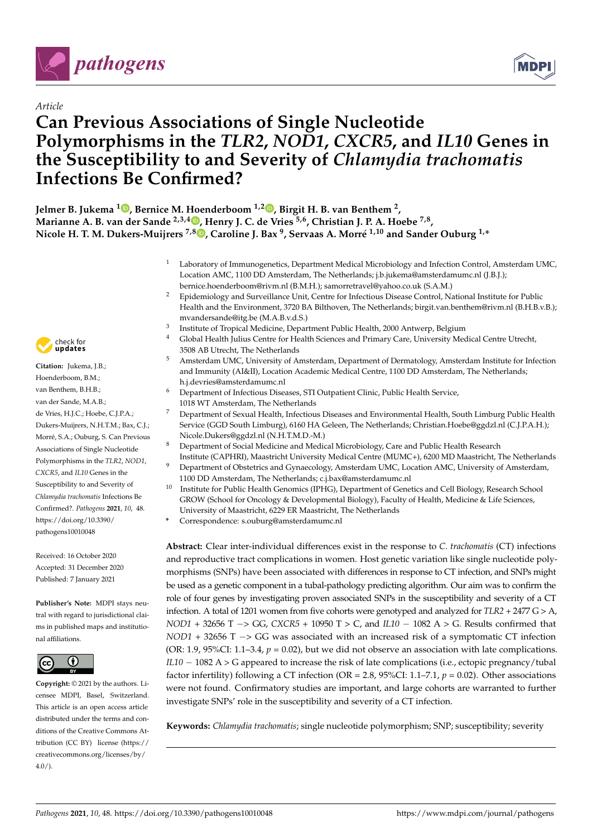

# *Article*

# **Can Previous Associations of Single Nucleotide Polymorphisms in the** *TLR2***,** *NOD1***,** *CXCR5***, and** *IL10* **Genes in the Susceptibility to and Severity of** *Chlamydia trachomatis* **Infections Be Confirmed?**



**Jelmer B. Jukema <sup>1</sup> [,](https://orcid.org/0000-0002-4536-8349) Bernice M. Hoenderboom 1,2 [,](https://orcid.org/0000-0003-0146-6198) Birgit H. B. van Benthem <sup>2</sup> , Marianne A. B. van der Sande 2,3,4 [,](https://orcid.org/0000-0002-4778-6739) Henry J. C. de Vries 5,6, Christian J. P. A. Hoebe 7,8 , Nicole H. T. M. Dukers-Muijrers 7,8 [,](https://orcid.org/0000-0003-4896-758X) Caroline J. Bax <sup>9</sup> , Servaas A. Morré 1,10 and Sander Ouburg 1,\***

- <sup>1</sup> Laboratory of Immunogenetics, Department Medical Microbiology and Infection Control, Amsterdam UMC, Location AMC, 1100 DD Amsterdam, The Netherlands; j.b.jukema@amsterdamumc.nl (J.B.J.); bernice.hoenderboom@rivm.nl (B.M.H.); samorretravel@yahoo.co.uk (S.A.M.)
- <sup>2</sup> Epidemiology and Surveillance Unit, Centre for Infectious Disease Control, National Institute for Public Health and the Environment, 3720 BA Bilthoven, The Netherlands; birgit.van.benthem@rivm.nl (B.H.B.v.B.); mvandersande@itg.be (M.A.B.v.d.S.)
- 3 Institute of Tropical Medicine, Department Public Health, 2000 Antwerp, Belgium
- <sup>4</sup> Global Health Julius Centre for Health Sciences and Primary Care, University Medical Centre Utrecht, 3508 AB Utrecht, The Netherlands
- <sup>5</sup> Amsterdam UMC, University of Amsterdam, Department of Dermatology, Amsterdam Institute for Infection and Immunity (AI&II), Location Academic Medical Centre, 1100 DD Amsterdam, The Netherlands; h.j.devries@amsterdamumc.nl
- <sup>6</sup> Department of Infectious Diseases, STI Outpatient Clinic, Public Health Service, 1018 WT Amsterdam, The Netherlands
- <sup>7</sup> Department of Sexual Health, Infectious Diseases and Environmental Health, South Limburg Public Health Service (GGD South Limburg), 6160 HA Geleen, The Netherlands; Christian.Hoebe@ggdzl.nl (C.J.P.A.H.); Nicole.Dukers@ggdzl.nl (N.H.T.M.D.-M.)
- <sup>8</sup> Department of Social Medicine and Medical Microbiology, Care and Public Health Research
- Institute (CAPHRI), Maastricht University Medical Centre (MUMC+), 6200 MD Maastricht, The Netherlands <sup>9</sup> Department of Obstetrics and Gynaecology, Amsterdam UMC, Location AMC, University of Amsterdam, 1100 DD Amsterdam, The Netherlands; c.j.bax@amsterdamumc.nl
- <sup>10</sup> Institute for Public Health Genomics (IPHG), Department of Genetics and Cell Biology, Research School GROW (School for Oncology & Developmental Biology), Faculty of Health, Medicine & Life Sciences, University of Maastricht, 6229 ER Maastricht, The Netherlands
- **\*** Correspondence: s.ouburg@amsterdamumc.nl

**Abstract:** Clear inter-individual differences exist in the response to *C. trachomatis* (CT) infections and reproductive tract complications in women. Host genetic variation like single nucleotide polymorphisms (SNPs) have been associated with differences in response to CT infection, and SNPs might be used as a genetic component in a tubal-pathology predicting algorithm. Our aim was to confirm the role of four genes by investigating proven associated SNPs in the susceptibility and severity of a CT infection. A total of 1201 women from five cohorts were genotyped and analyzed for *TLR2* + 2477 G > A, *NOD1* + 32656 T −> GG, *CXCR5* + 10950 T > C, and *IL10* − 1082 A > G. Results confirmed that *NOD1* + 32656 T −> GG was associated with an increased risk of a symptomatic CT infection (OR: 1.9, 95%CI: 1.1–3.4,  $p = 0.02$ ), but we did not observe an association with late complications. *IL10* − 1082 A > G appeared to increase the risk of late complications (i.e., ectopic pregnancy/tubal factor infertility) following a CT infection (OR = 2.8, 95%CI: 1.1–7.1, *p* = 0.02). Other associations were not found. Confirmatory studies are important, and large cohorts are warranted to further investigate SNPs' role in the susceptibility and severity of a CT infection.

**Keywords:** *Chlamydia trachomatis*; single nucleotide polymorphism; SNP; susceptibility; severity



**Citation:** Jukema, J.B.; Hoenderboom, B.M.; van Benthem, B.H.B.; van der Sande, M.A.B.; de Vries, H.J.C.; Hoebe, C.J.P.A.; Dukers-Muijrers, N.H.T.M.; Bax, C.J.; Morré, S.A.; Ouburg, S. Can Previous Associations of Single Nucleotide Polymorphisms in the *TLR2*, *NOD1*, *CXCR5*, and *IL10* Genes in the Susceptibility to and Severity of *Chlamydia trachomatis* Infections Be Confirmed?. *Pathogens* **2021**, *10*, 48. [https://doi.org/10.3390/](https://doi.org/10.3390/pathogens10010048) [pathogens10010048](https://doi.org/10.3390/pathogens10010048)

Received: 16 October 2020 Accepted: 31 December 2020 Published: 7 January 2021

**Publisher's Note:** MDPI stays neutral with regard to jurisdictional claims in published maps and institutional affiliations.



**Copyright:** © 2021 by the authors. Licensee MDPI, Basel, Switzerland. This article is an open access article distributed under the terms and conditions of the Creative Commons Attribution (CC BY) license [\(https://](https://creativecommons.org/licenses/by/4.0/) [creativecommons.org/licenses/by/](https://creativecommons.org/licenses/by/4.0/)  $4.0/$ ).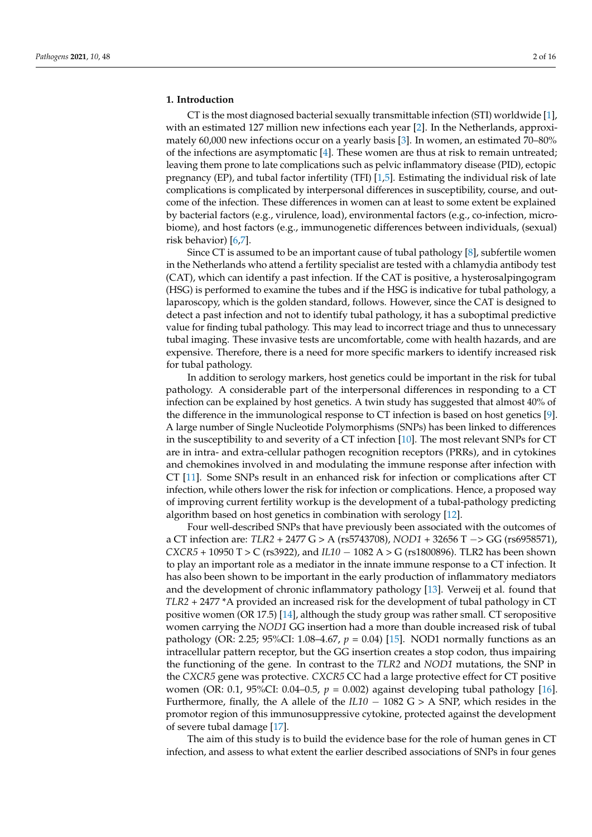#### **1. Introduction**

CT is the most diagnosed bacterial sexually transmittable infection (STI) worldwide [\[1\]](#page-13-0), with an estimated 127 million new infections each year [\[2\]](#page-13-1). In the Netherlands, approximately 60,000 new infections occur on a yearly basis [\[3\]](#page-13-2). In women, an estimated 70–80% of the infections are asymptomatic [\[4\]](#page-14-0). These women are thus at risk to remain untreated; leaving them prone to late complications such as pelvic inflammatory disease (PID), ectopic pregnancy (EP), and tubal factor infertility (TFI) [\[1,](#page-13-0)[5\]](#page-14-1). Estimating the individual risk of late complications is complicated by interpersonal differences in susceptibility, course, and outcome of the infection. These differences in women can at least to some extent be explained by bacterial factors (e.g., virulence, load), environmental factors (e.g., co-infection, microbiome), and host factors (e.g., immunogenetic differences between individuals, (sexual) risk behavior) [\[6](#page-14-2)[,7\]](#page-14-3).

Since CT is assumed to be an important cause of tubal pathology [\[8\]](#page-14-4), subfertile women in the Netherlands who attend a fertility specialist are tested with a chlamydia antibody test (CAT), which can identify a past infection. If the CAT is positive, a hysterosalpingogram (HSG) is performed to examine the tubes and if the HSG is indicative for tubal pathology, a laparoscopy, which is the golden standard, follows. However, since the CAT is designed to detect a past infection and not to identify tubal pathology, it has a suboptimal predictive value for finding tubal pathology. This may lead to incorrect triage and thus to unnecessary tubal imaging. These invasive tests are uncomfortable, come with health hazards, and are expensive. Therefore, there is a need for more specific markers to identify increased risk for tubal pathology.

In addition to serology markers, host genetics could be important in the risk for tubal pathology. A considerable part of the interpersonal differences in responding to a CT infection can be explained by host genetics. A twin study has suggested that almost 40% of the difference in the immunological response to CT infection is based on host genetics [\[9\]](#page-14-5). A large number of Single Nucleotide Polymorphisms (SNPs) has been linked to differences in the susceptibility to and severity of a CT infection [\[10\]](#page-14-6). The most relevant SNPs for CT are in intra- and extra-cellular pathogen recognition receptors (PRRs), and in cytokines and chemokines involved in and modulating the immune response after infection with CT [\[11\]](#page-14-7). Some SNPs result in an enhanced risk for infection or complications after CT infection, while others lower the risk for infection or complications. Hence, a proposed way of improving current fertility workup is the development of a tubal-pathology predicting algorithm based on host genetics in combination with serology [\[12\]](#page-14-8).

Four well-described SNPs that have previously been associated with the outcomes of a CT infection are: *TLR2* + 2477 G > A (rs5743708), *NOD1* + 32656 T −> GG (rs6958571), *CXCR5* + 10950 T > C (rs3922), and *IL10* − 1082 A > G (rs1800896). TLR2 has been shown to play an important role as a mediator in the innate immune response to a CT infection. It has also been shown to be important in the early production of inflammatory mediators and the development of chronic inflammatory pathology [\[13\]](#page-14-9). Verweij et al. found that *TLR2* + 2477 \*A provided an increased risk for the development of tubal pathology in CT positive women (OR 17.5) [\[14\]](#page-14-10), although the study group was rather small. CT seropositive women carrying the *NOD1* GG insertion had a more than double increased risk of tubal pathology (OR: 2.25; 95%CI: 1.08–4.67, *p* = 0.04) [\[15\]](#page-14-11). NOD1 normally functions as an intracellular pattern receptor, but the GG insertion creates a stop codon, thus impairing the functioning of the gene. In contrast to the *TLR2* and *NOD1* mutations, the SNP in the *CXCR5* gene was protective. *CXCR5* CC had a large protective effect for CT positive women (OR: 0.1, 95%CI: 0.04–0.5, *p* = 0.002) against developing tubal pathology [\[16\]](#page-14-12). Furthermore, finally, the A allele of the *IL10* − 1082 G > A SNP, which resides in the promotor region of this immunosuppressive cytokine, protected against the development of severe tubal damage [\[17\]](#page-14-13).

The aim of this study is to build the evidence base for the role of human genes in CT infection, and assess to what extent the earlier described associations of SNPs in four genes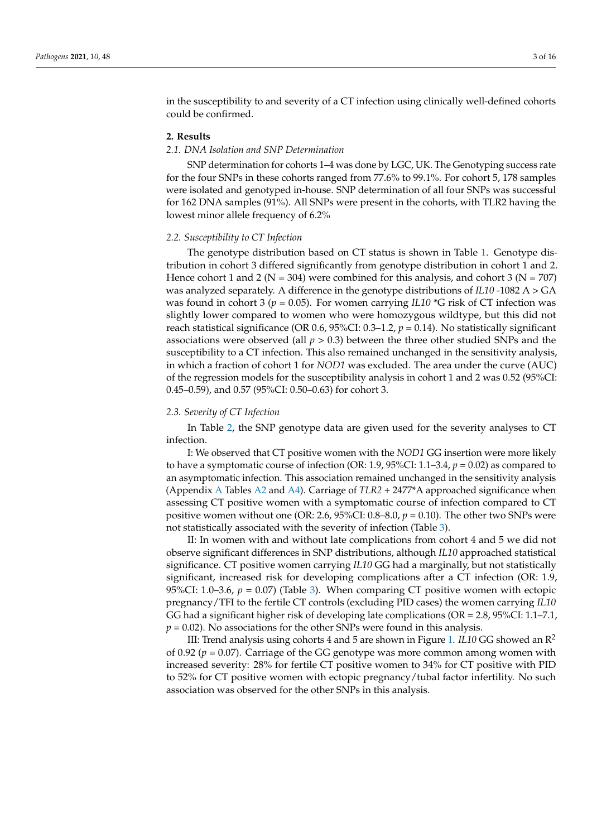in the susceptibility to and severity of a CT infection using clinically well-defined cohorts could be confirmed.

#### **2. Results**

#### *2.1. DNA Isolation and SNP Determination*

SNP determination for cohorts 1–4 was done by LGC, UK. The Genotyping success rate for the four SNPs in these cohorts ranged from 77.6% to 99.1%. For cohort 5, 178 samples were isolated and genotyped in-house. SNP determination of all four SNPs was successful for 162 DNA samples (91%). All SNPs were present in the cohorts, with TLR2 having the lowest minor allele frequency of 6.2%

#### *2.2. Susceptibility to CT Infection*

The genotype distribution based on CT status is shown in Table [1.](#page-3-0) Genotype distribution in cohort 3 differed significantly from genotype distribution in cohort 1 and 2. Hence cohort 1 and 2 ( $N = 304$ ) were combined for this analysis, and cohort 3 ( $N = 707$ ) was analyzed separately. A difference in the genotype distributions of *IL10* -1082 A > GA was found in cohort 3 ( $p = 0.05$ ). For women carrying *IL10*  $*$ G risk of CT infection was slightly lower compared to women who were homozygous wildtype, but this did not reach statistical significance (OR 0.6, 95%CI: 0.3–1.2, *p* = 0.14). No statistically significant associations were observed (all *p* > 0.3) between the three other studied SNPs and the susceptibility to a CT infection. This also remained unchanged in the sensitivity analysis, in which a fraction of cohort 1 for *NOD1* was excluded. The area under the curve (AUC) of the regression models for the susceptibility analysis in cohort 1 and 2 was 0.52 (95%CI: 0.45–0.59), and 0.57 (95%CI: 0.50–0.63) for cohort 3.

# *2.3. Severity of CT Infection*

In Table [2,](#page-4-0) the SNP genotype data are given used for the severity analyses to CT infection.

I: We observed that CT positive women with the *NOD1* GG insertion were more likely to have a symptomatic course of infection (OR: 1.9, 95%CI: 1.1–3.4, *p* = 0.02) as compared to an asymptomatic infection. This association remained unchanged in the sensitivity analysis (Appendix [A](#page-12-0) Tables [A2](#page-12-1) and [A4\)](#page-13-3). Carriage of *TLR2* + 2477\*A approached significance when assessing CT positive women with a symptomatic course of infection compared to CT positive women without one (OR: 2.6, 95%CI: 0.8–8.0, *p* = 0.10). The other two SNPs were not statistically associated with the severity of infection (Table [3\)](#page-4-1).

II: In women with and without late complications from cohort 4 and 5 we did not observe significant differences in SNP distributions, although *IL10* approached statistical significance. CT positive women carrying *IL10* GG had a marginally, but not statistically significant, increased risk for developing complications after a CT infection (OR: 1.9, 95%CI: 1.0–3.6,  $p = 0.07$ ) (Table [3\)](#page-4-1). When comparing CT positive women with ectopic pregnancy/TFI to the fertile CT controls (excluding PID cases) the women carrying *IL10* GG had a significant higher risk of developing late complications (OR = 2.8, 95%CI: 1.1–7.1,  $p = 0.02$ ). No associations for the other SNPs were found in this analysis.

III: Trend analysis using cohorts 4 and 5 are shown in Figure [1.](#page-5-0) *IL10* GG showed an R<sup>2</sup> of 0.92 (*p* = 0.07). Carriage of the GG genotype was more common among women with increased severity: 28% for fertile CT positive women to 34% for CT positive with PID to 52% for CT positive women with ectopic pregnancy/tubal factor infertility. No such association was observed for the other SNPs in this analysis.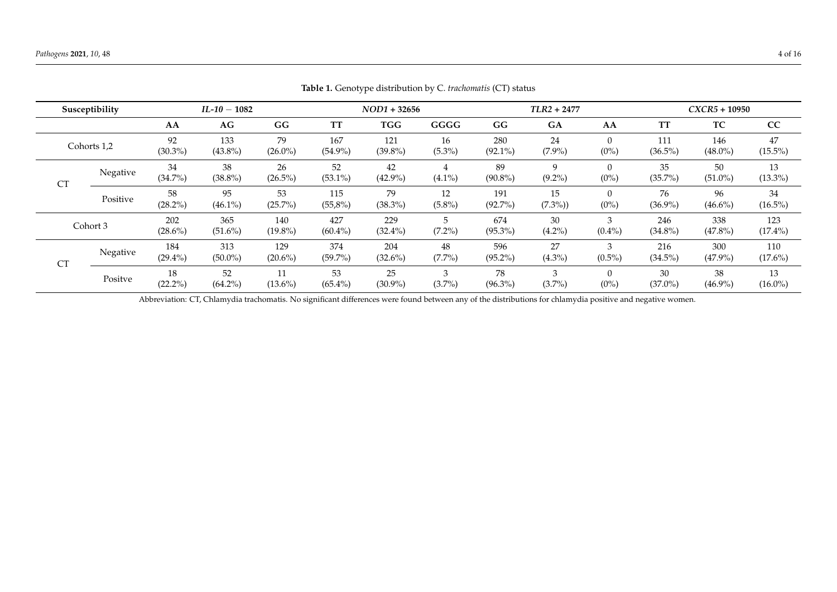|           | Susceptibility |                   | $IL-10-1082$      |                   |                   | $NOD1 + 32656$    |                 |                   | $TLR2 + 2477$             |                     |                   | $CXCR5 + 10950$   |                   |
|-----------|----------------|-------------------|-------------------|-------------------|-------------------|-------------------|-----------------|-------------------|---------------------------|---------------------|-------------------|-------------------|-------------------|
|           |                | AA                | AG                | GG                | <b>TT</b>         | <b>TGG</b>        | GGGG            | GG                | GA                        | AA                  | <b>TT</b>         | TC                | CC                |
|           | Cohorts 1,2    | 92<br>$(30.3\%)$  | 133<br>$(43.8\%)$ | 79<br>$(26.0\%)$  | 167<br>$(54.9\%)$ | 121<br>$(39.8\%)$ | 16<br>$(5.3\%)$ | 280<br>$(92.1\%)$ | 24<br>$(7.9\%)$           | $\theta$<br>$(0\%)$ | 111<br>$(36.5\%)$ | 146<br>$(48.0\%)$ | 47<br>$(15.5\%)$  |
| <b>CT</b> | Negative       | 34<br>$(34.7\%)$  | 38<br>$(38.8\%)$  | 26<br>$(26.5\%)$  | 52<br>$(53.1\%)$  | 42<br>$(42.9\%)$  | 4<br>$(4.1\%)$  | 89<br>$(90.8\%)$  | $\mathbf{Q}$<br>$(9.2\%)$ | $\theta$<br>$(0\%)$ | 35<br>$(35.7\%)$  | 50<br>$(51.0\%)$  | 13<br>$(13.3\%)$  |
|           | Positive       | 58<br>$(28.2\%)$  | 95<br>$(46.1\%)$  | 53<br>$(25.7\%)$  | 115<br>$(55,8\%)$ | 79<br>$(38.3\%)$  | 12<br>$(5.8\%)$ | 191<br>$(92.7\%)$ | 15<br>$(7.3\%)$           | $\theta$<br>$(0\%)$ | 76<br>$(36.9\%)$  | 96<br>$(46.6\%)$  | 34<br>$(16.5\%)$  |
|           | Cohort 3       | 202<br>$(28.6\%)$ | 365<br>$(51.6\%)$ | 140<br>$(19.8\%)$ | 427<br>$(60.4\%)$ | 229<br>$(32.4\%)$ | 5<br>$(7.2\%)$  | 674<br>$(95.3\%)$ | 30<br>$(4.2\%)$           | 3<br>$(0.4\%)$      | 246<br>$(34.8\%)$ | 338<br>$(47.8\%)$ | 123<br>$(17.4\%)$ |
| <b>CT</b> | Negative       | 184<br>$(29.4\%)$ | 313<br>$(50.0\%)$ | 129<br>$(20.6\%)$ | 374<br>$(59.7\%)$ | 204<br>$(32.6\%)$ | 48<br>$(7.7\%)$ | 596<br>$(95.2\%)$ | 27<br>$(4.3\%)$           | 3<br>$(0.5\%)$      | 216<br>$(34.5\%)$ | 300<br>$(47.9\%)$ | 110<br>$(17.6\%)$ |
|           | Positve        | 18<br>$(22.2\%)$  | 52<br>$(64.2\%)$  | 11<br>$(13.6\%)$  | 53<br>$(65.4\%)$  | 25<br>$(30.9\%)$  | 3<br>$(3.7\%)$  | 78<br>$(96.3\%)$  | 3<br>$(3.7\%)$            | $\theta$<br>$(0\%)$ | 30<br>$(37.0\%)$  | 38<br>$(46.9\%)$  | 13<br>$(16.0\%)$  |

**Table 1.** Genotype distribution by C. *trachomatis* (CT) status

<span id="page-3-0"></span>Abbreviation: CT, Chlamydia trachomatis. No significant differences were found between any of the distributions for chlamydia positive and negative women.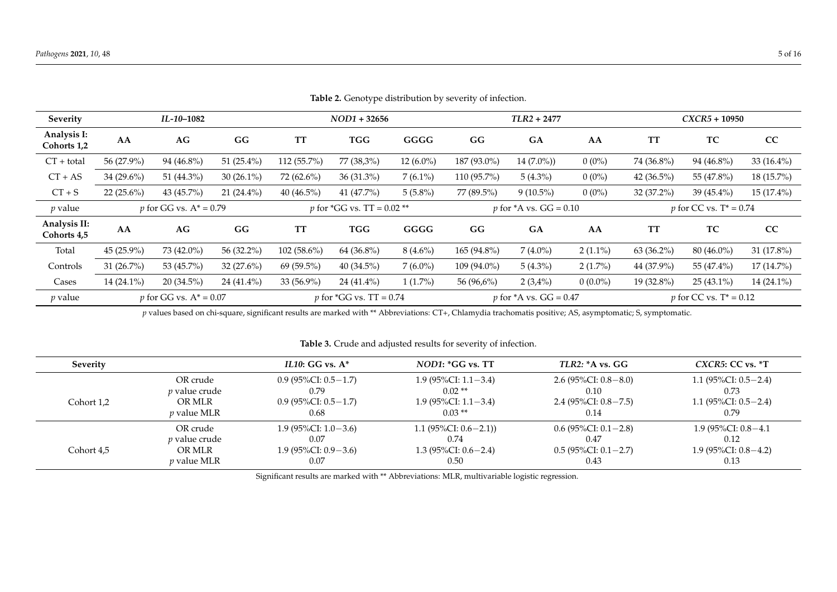| <b>Severity</b>             |               | IL-10-1082                       |               |               | $NOD1 + 32656$                       |             |               | $TLR2 + 2477$                     |            |               | $CXCR5 + 10950$                  |               |
|-----------------------------|---------------|----------------------------------|---------------|---------------|--------------------------------------|-------------|---------------|-----------------------------------|------------|---------------|----------------------------------|---------------|
| Analysis I:<br>Cohorts 1,2  | AA            | AG                               | GG            | <b>TT</b>     | <b>TGG</b>                           | GGGG        | GG            | <b>GA</b>                         | AA         | <b>TT</b>     | TC                               | CC            |
| $CT + total$                | 56 (27.9%)    | 94 (46.8%)                       | 51 $(25.4\%)$ | 112 (55.7%)   | 77 (38,3%)                           | $12(6.0\%)$ | 187 (93.0%)   | $14(7.0\%)$                       | $0(0\%)$   | 74 (36.8%)    | 94 (46.8%)                       | $33(16.4\%)$  |
| $CT + AS$                   | 34 (29.6%)    | 51 (44.3%)                       | $30(26.1\%)$  | 72 (62.6%)    | $36(31.3\%)$                         | $7(6.1\%)$  | $110(95.7\%)$ | $5(4.3\%)$                        | $0(0\%)$   | 42 $(36.5\%)$ | 55 (47.8%)                       | 18 (15.7%)    |
| $CT + S$                    | 22 $(25.6\%)$ | 43 (45.7%)                       | $21(24.4\%)$  | 40 $(46.5\%)$ | 41 (47.7%)                           | $5(5.8\%)$  | 77 (89.5%)    | $9(10.5\%)$                       | $0(0\%)$   | 32 (37.2%)    | $39(45.4\%)$                     | 15 (17.4%)    |
| $p$ value                   |               | <i>p</i> for GG vs. $A^* = 0.79$ |               |               | <i>p</i> for $^*GG$ vs. TT = 0.02 ** |             |               | <i>p</i> for $*A$ vs. $GG = 0.10$ |            |               | <i>p</i> for CC vs. $T^* = 0.74$ |               |
| Analysis II:<br>Cohorts 4,5 | AA            | AG                               | GG            | <b>TT</b>     | TGG                                  | GGGG        | GG            | <b>GA</b>                         | AA         | <b>TT</b>     | TC                               | CC            |
| Total                       | $45(25.9\%)$  | 73 (42.0%)                       | 56 (32.2%)    | $102(58.6\%)$ | 64 (36.8%)                           | $8(4.6\%)$  | $165(94.8\%)$ | $7(4.0\%)$                        | $2(1.1\%)$ | $63(36.2\%)$  | $80(46.0\%)$                     | 31 $(17.8\%)$ |
| Controls                    | 31 $(26.7\%)$ | 53 (45.7%)                       | $32(27.6\%)$  | 69 (59.5%)    | $40(34.5\%)$                         | $7(6.0\%)$  | $109(94.0\%)$ | $5(4.3\%)$                        | $2(1.7\%)$ | 44 (37.9%)    | 55 (47.4%)                       | 17 (14.7%)    |
| Cases                       | $14(24.1\%)$  | $20(34.5\%)$                     | 24 (41.4%)    | 33 (56.9%)    | $24(41.4\%)$                         | $1(1.7\%)$  | 56 (96,6%)    | $2(3,4\%)$                        | $0(0.0\%)$ | 19 (32.8%)    | $25(43.1\%)$                     | 14 (24.1%)    |
| $p$ value                   |               | <i>p</i> for GG vs. $A^* = 0.07$ |               |               | <i>p</i> for $*GG$ vs. TT = 0.74     |             |               | <i>p</i> for $*A$ vs. $GG = 0.47$ |            |               | <i>p</i> for CC vs. $T^* = 0.12$ |               |

**Table 2.** Genotype distribution by severity of infection.

*p* values based on chi-square, significant results are marked with \*\* Abbreviations: CT+, Chlamydia trachomatis positive; AS, asymptomatic; S, symptomatic.

**Table 3.** Crude and adjusted results for severity of infection.

<span id="page-4-1"></span><span id="page-4-0"></span>

| Severity   |                      | IL10: GG vs. $A^*$         | $NOD1: *GG$ vs. $TT$      | TLR2: A vs. GG            | $CXCR5$ : CC vs. $*T$   |
|------------|----------------------|----------------------------|---------------------------|---------------------------|-------------------------|
| Cohort 1,2 | OR crude             | 0.9 (95%CI: 0.5 $-1.7$ )   | 1.9 (95%CI: $1.1 - 3.4$ ) | 2.6 (95%CI: $0.8-8.0$ )   | 1.1 (95%CI: $0.5-2.4$ ) |
|            | <i>p</i> value crude | 0.79                       | $0.02**$                  | 0.10                      | 0.73                    |
|            | OR MLR               | 0.9 (95%CI: 0.5 $-1.7$ )   | 1.9 (95%CI: $1.1 - 3.4$ ) | 2.4 (95%CI: $0.8 - 7.5$ ) | 1.1 (95%CI: $0.5-2.4$ ) |
|            | <i>p</i> value MLR   | 0.68                       | $0.03**$                  | 0.14                      | 0.79                    |
| Cohort 4,5 | OR crude             | 1.9 (95%CI: $1.0-3.6$ )    | 1.1 $(95\%CI: 0.6-2.1)$   | 0.6 (95%CI: 0.1 - 2.8)    | 1.9 (95%CI: $0.8-4.1$ ) |
|            | <i>p</i> value crude | 0.07                       | 0.74                      | 0.47                      | 0.12                    |
|            | OR MLR               | $1.9 (95\% CI: 0.9 - 3.6)$ | 1.3 (95%CI: $0.6-2.4$ )   | $0.5$ (95%CI: $0.1-2.7$ ) | 1.9 (95%CI: $0.8-4.2$ ) |
|            | <i>p</i> value MLR   | 0.07                       | 0.50                      | 0.43                      | 0.13                    |

Significant results are marked with \*\* Abbreviations: MLR, multivariable logistic regression.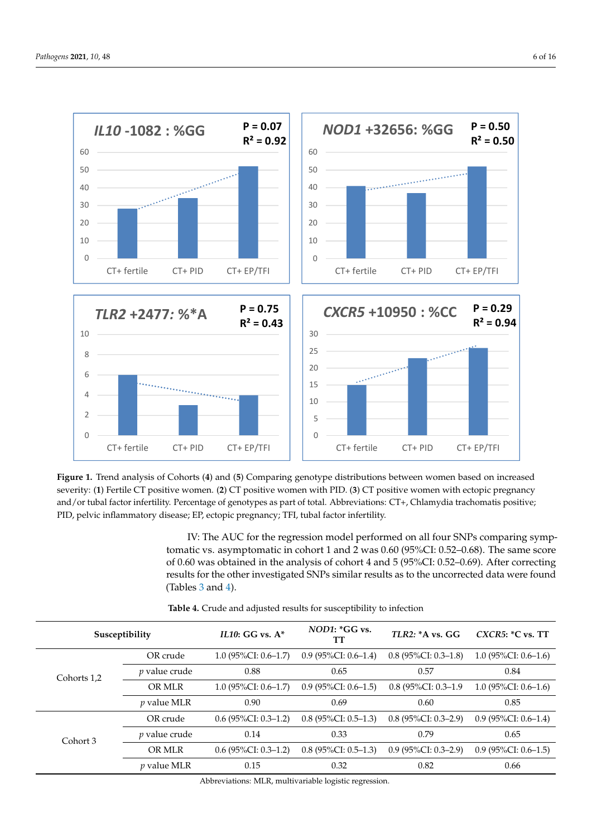<span id="page-5-0"></span>

Figure 1. Trend analysis of Cohorts (4) and (5) Comparing genotype distributions between women based on increased severity: (1) Fertile CT positive women. (2) CT positive women with PID. (3) CT positive women with ectopic pregnancy and/or tubal factor infertility. Percentage of genotypes as part of total. Abbreviations: CT+, Chlamydia trachomatis positive; PID, pelvic inflammatory disease; EP, ectopic pregnancy; TFI, tubal factor infertility. and/or tubal factor infertility. Percentage of genotypes as part of total. Abbreviations: CT+, Chlamydia trachomatis positive; PID, pelvic inflammatory disease; EP, ectopic pregnancy; TFI, tubal factor infertility.

> IV: The AUC for the regression model performed on all four SNPs comparing symptomatic vs. asymptomatic in cohort 1 and 2 was 0.60 (95%CI: 0.52–0.68). The same score of 0.60 was obtained in the analysis of cohort 4 and 5 (95%CI: 0.52–0.69). After correcting results for the other investigated SNPs similar results as to the uncorrected data were found (Tables [3](#page-4-1) and [4\)](#page-5-1).  $\sim$  minimize the number of infertile women who try to become pregnant naturally, when  $\sim$

> this data. Therefore, we can not complication that late complications are not complications are not caused by

<span id="page-5-1"></span>

| Susceptibility |                      | $IL10: GG vs. A*$      | $NOD1:$ ${}^*GG$ vs.<br>TТ | TLR2: A vs. GG         | $CXCR5:$ *C vs. TT     |
|----------------|----------------------|------------------------|----------------------------|------------------------|------------------------|
|                | OR crude             | $1.0$ (95%CI: 0.6–1.7) | $0.9$ (95%CI: 0.6–1.4)     | $0.8$ (95%CI: 0.3–1.8) | $1.0$ (95%CI: 0.6–1.6) |
| Cohorts 1,2    | <i>p</i> value crude | 0.88                   | 0.65                       | 0.57                   | 0.84                   |
|                | OR MLR               | $1.0$ (95%CI: 0.6–1.7) | $0.9$ (95%CI: 0.6–1.5)     | $0.8$ (95%CI: 0.3–1.9) | $1.0(95\%CI: 0.6-1.6)$ |
|                | $p$ value MLR        | 0.90                   | 0.69                       | 0.60                   | 0.85                   |
|                | OR crude             | $0.6$ (95%CI: 0.3–1.2) | $0.8$ (95%CI: 0.5–1.3)     | $0.8$ (95%CI: 0.3–2.9) | $0.9$ (95%CI: 0.6–1.4) |
| Cohort 3       | <i>p</i> value crude | 0.14                   | 0.33                       | 0.79                   | 0.65                   |
|                | OR MLR               | $0.6$ (95%CI: 0.3–1.2) | $0.8$ (95%CI: 0.5–1.3)     | $0.9$ (95%CI: 0.3–2.9) | $0.9$ (95%CI: 0.6–1.5) |
|                | <i>p</i> value MLR   | 0.15                   | 0.32                       | 0.82                   | 0.66                   |

Table 4. Crude and adjusted results for susceptibility to infection

Abbreviations: MLR, multivariable logistic regression.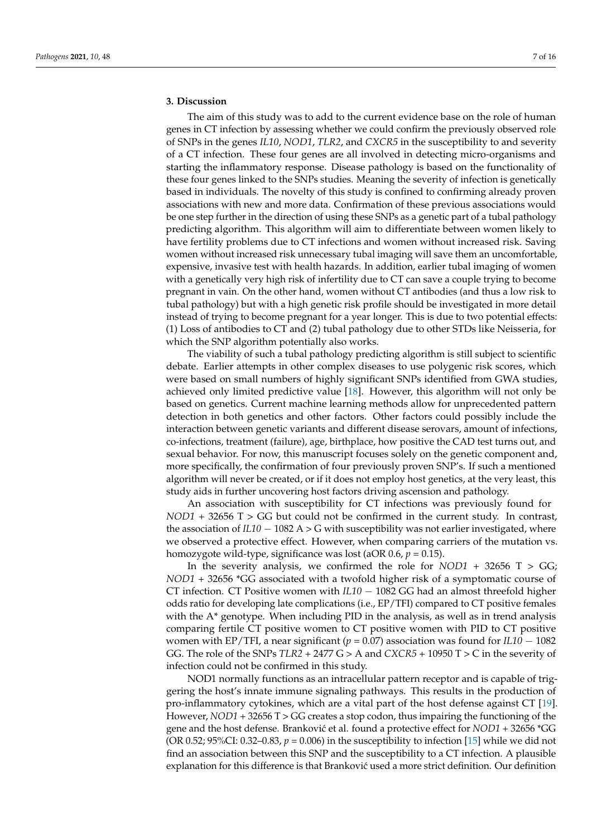# **3. Discussion**

The aim of this study was to add to the current evidence base on the role of human genes in CT infection by assessing whether we could confirm the previously observed role of SNPs in the genes *IL10*, *NOD1*, *TLR2*, and *CXCR5* in the susceptibility to and severity of a CT infection. These four genes are all involved in detecting micro-organisms and starting the inflammatory response. Disease pathology is based on the functionality of these four genes linked to the SNPs studies. Meaning the severity of infection is genetically based in individuals. The novelty of this study is confined to confirming already proven associations with new and more data. Confirmation of these previous associations would be one step further in the direction of using these SNPs as a genetic part of a tubal pathology predicting algorithm. This algorithm will aim to differentiate between women likely to have fertility problems due to CT infections and women without increased risk. Saving women without increased risk unnecessary tubal imaging will save them an uncomfortable, expensive, invasive test with health hazards. In addition, earlier tubal imaging of women with a genetically very high risk of infertility due to CT can save a couple trying to become pregnant in vain. On the other hand, women without CT antibodies (and thus a low risk to tubal pathology) but with a high genetic risk profile should be investigated in more detail instead of trying to become pregnant for a year longer. This is due to two potential effects: (1) Loss of antibodies to CT and (2) tubal pathology due to other STDs like Neisseria, for which the SNP algorithm potentially also works.

The viability of such a tubal pathology predicting algorithm is still subject to scientific debate. Earlier attempts in other complex diseases to use polygenic risk scores, which were based on small numbers of highly significant SNPs identified from GWA studies, achieved only limited predictive value [\[18\]](#page-14-14). However, this algorithm will not only be based on genetics. Current machine learning methods allow for unprecedented pattern detection in both genetics and other factors. Other factors could possibly include the interaction between genetic variants and different disease serovars, amount of infections, co-infections, treatment (failure), age, birthplace, how positive the CAD test turns out, and sexual behavior. For now, this manuscript focuses solely on the genetic component and, more specifically, the confirmation of four previously proven SNP's. If such a mentioned algorithm will never be created, or if it does not employ host genetics, at the very least, this study aids in further uncovering host factors driving ascension and pathology.

An association with susceptibility for CT infections was previously found for *NOD1* + 32656 T > GG but could not be confirmed in the current study. In contrast, the association of  $IL10 - 1082$  A > G with susceptibility was not earlier investigated, where we observed a protective effect. However, when comparing carriers of the mutation vs. homozygote wild-type, significance was lost (aOR 0.6, *p* = 0.15).

In the severity analysis, we confirmed the role for  $NOD1 + 32656$  T  $>$  GG; *NOD1* + 32656 \*GG associated with a twofold higher risk of a symptomatic course of CT infection. CT Positive women with *IL10* − 1082 GG had an almost threefold higher odds ratio for developing late complications (i.e., EP/TFI) compared to CT positive females with the  $A^*$  genotype. When including PID in the analysis, as well as in trend analysis comparing fertile CT positive women to CT positive women with PID to CT positive women with EP/TFI, a near significant ( $p = 0.07$ ) association was found for  $IL10 - 1082$ GG. The role of the SNPs *TLR2* + 2477 G > A and *CXCR5* + 10950 T > C in the severity of infection could not be confirmed in this study.

NOD1 normally functions as an intracellular pattern receptor and is capable of triggering the host's innate immune signaling pathways. This results in the production of pro-inflammatory cytokines, which are a vital part of the host defense against CT [\[19\]](#page-14-15). However, *NOD1* + 32656 T > GG creates a stop codon, thus impairing the functioning of the gene and the host defense. Branković et al. found a protective effect for *NOD1* + 32656 \*GG (OR 0.52;  $95\%$ CI: 0.32–0.83,  $p = 0.006$ ) in the susceptibility to infection [\[15\]](#page-14-11) while we did not find an association between this SNP and the susceptibility to a CT infection. A plausible explanation for this difference is that Branković used a more strict definition. Our definition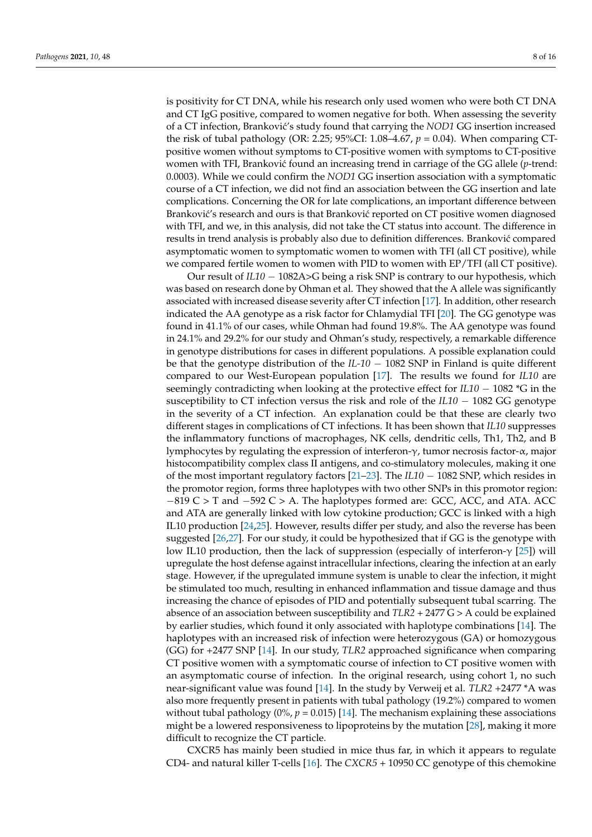is positivity for CT DNA, while his research only used women who were both CT DNA and CT IgG positive, compared to women negative for both. When assessing the severity of a CT infection, Brankovi´c's study found that carrying the *NOD1* GG insertion increased the risk of tubal pathology (OR: 2.25; 95%CI: 1.08–4.67, *p* = 0.04). When comparing CTpositive women without symptoms to CT-positive women with symptoms to CT-positive women with TFI, Branković found an increasing trend in carriage of the GG allele (*p*-trend: 0.0003). While we could confirm the *NOD1* GG insertion association with a symptomatic course of a CT infection, we did not find an association between the GG insertion and late complications. Concerning the OR for late complications, an important difference between Branković's research and ours is that Branković reported on CT positive women diagnosed with TFI, and we, in this analysis, did not take the CT status into account. The difference in results in trend analysis is probably also due to definition differences. Branković compared asymptomatic women to symptomatic women to women with TFI (all CT positive), while we compared fertile women to women with PID to women with EP/TFI (all CT positive).

Our result of *IL10* − 1082A>G being a risk SNP is contrary to our hypothesis, which was based on research done by Ohman et al. They showed that the A allele was significantly associated with increased disease severity after CT infection [\[17\]](#page-14-13). In addition, other research indicated the AA genotype as a risk factor for Chlamydial TFI [\[20\]](#page-14-16). The GG genotype was found in 41.1% of our cases, while Ohman had found 19.8%. The AA genotype was found in 24.1% and 29.2% for our study and Ohman's study, respectively, a remarkable difference in genotype distributions for cases in different populations. A possible explanation could be that the genotype distribution of the *IL-10* − 1082 SNP in Finland is quite different compared to our West-European population [\[17\]](#page-14-13). The results we found for *IL10* are seemingly contradicting when looking at the protective effect for *IL10* − 1082 <sup>\*</sup>G in the susceptibility to CT infection versus the risk and role of the *IL10* − 1082 GG genotype in the severity of a CT infection. An explanation could be that these are clearly two different stages in complications of CT infections. It has been shown that *IL10* suppresses the inflammatory functions of macrophages, NK cells, dendritic cells, Th1, Th2, and B lymphocytes by regulating the expression of interferon-γ, tumor necrosis factor-α, major histocompatibility complex class II antigens, and co-stimulatory molecules, making it one of the most important regulatory factors [\[21](#page-14-17)[–23\]](#page-14-18). The *IL10* − 1082 SNP, which resides in the promotor region, forms three haplotypes with two other SNPs in this promotor region: −819 C > T and −592 C > A. The haplotypes formed are: GCC, ACC, and ATA. ACC and ATA are generally linked with low cytokine production; GCC is linked with a high IL10 production [\[24](#page-14-19)[,25\]](#page-14-20). However, results differ per study, and also the reverse has been suggested [\[26](#page-15-0)[,27\]](#page-15-1). For our study, it could be hypothesized that if GG is the genotype with low IL10 production, then the lack of suppression (especially of interferon- $\gamma$  [\[25\]](#page-14-20)) will upregulate the host defense against intracellular infections, clearing the infection at an early stage. However, if the upregulated immune system is unable to clear the infection, it might be stimulated too much, resulting in enhanced inflammation and tissue damage and thus increasing the chance of episodes of PID and potentially subsequent tubal scarring. The absence of an association between susceptibility and *TLR2* + 2477 G > A could be explained by earlier studies, which found it only associated with haplotype combinations [\[14\]](#page-14-10). The haplotypes with an increased risk of infection were heterozygous (GA) or homozygous (GG) for +2477 SNP [\[14\]](#page-14-10). In our study, *TLR2* approached significance when comparing CT positive women with a symptomatic course of infection to CT positive women with an asymptomatic course of infection. In the original research, using cohort 1, no such near-significant value was found [\[14\]](#page-14-10). In the study by Verweij et al. *TLR2* +2477 \*A was also more frequently present in patients with tubal pathology (19.2%) compared to women without tubal pathology  $(0\%, p = 0.015)$  [\[14\]](#page-14-10). The mechanism explaining these associations might be a lowered responsiveness to lipoproteins by the mutation [\[28\]](#page-15-2), making it more difficult to recognize the CT particle.

CXCR5 has mainly been studied in mice thus far, in which it appears to regulate CD4- and natural killer T-cells [\[16\]](#page-14-12). The *CXCR5* + 10950 CC genotype of this chemokine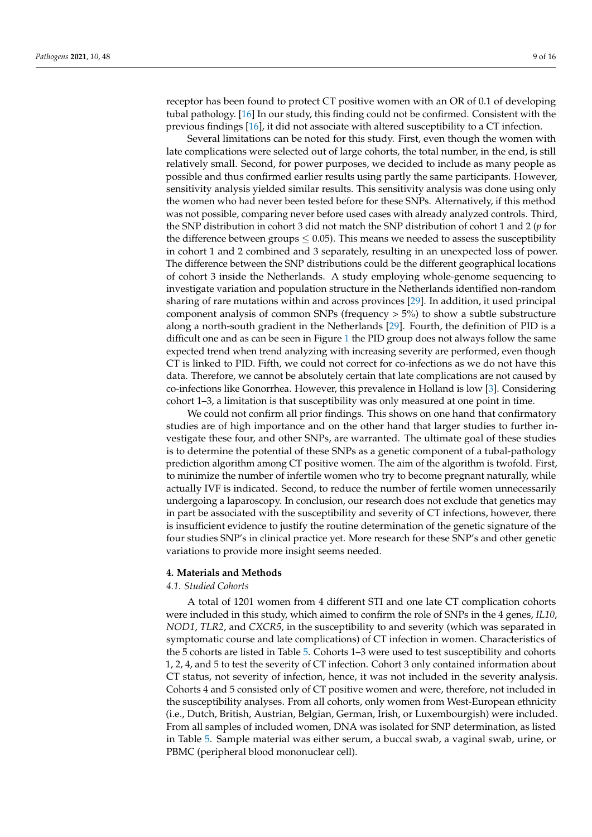receptor has been found to protect CT positive women with an OR of 0.1 of developing tubal pathology. [\[16\]](#page-14-12) In our study, this finding could not be confirmed. Consistent with the previous findings [\[16\]](#page-14-12), it did not associate with altered susceptibility to a CT infection.

Several limitations can be noted for this study. First, even though the women with late complications were selected out of large cohorts, the total number, in the end, is still relatively small. Second, for power purposes, we decided to include as many people as possible and thus confirmed earlier results using partly the same participants. However, sensitivity analysis yielded similar results. This sensitivity analysis was done using only the women who had never been tested before for these SNPs. Alternatively, if this method was not possible, comparing never before used cases with already analyzed controls. Third, the SNP distribution in cohort 3 did not match the SNP distribution of cohort 1 and 2 (*p* for the difference between groups  $\leq 0.05$ ). This means we needed to assess the susceptibility in cohort 1 and 2 combined and 3 separately, resulting in an unexpected loss of power. The difference between the SNP distributions could be the different geographical locations of cohort 3 inside the Netherlands. A study employing whole-genome sequencing to investigate variation and population structure in the Netherlands identified non-random sharing of rare mutations within and across provinces [\[29\]](#page-15-3). In addition, it used principal component analysis of common SNPs (frequency  $>$  5%) to show a subtle substructure along a north-south gradient in the Netherlands [\[29\]](#page-15-3). Fourth, the definition of PID is a difficult one and as can be seen in Figure [1](#page-5-0) the PID group does not always follow the same expected trend when trend analyzing with increasing severity are performed, even though CT is linked to PID. Fifth, we could not correct for co-infections as we do not have this data. Therefore, we cannot be absolutely certain that late complications are not caused by co-infections like Gonorrhea. However, this prevalence in Holland is low [\[3\]](#page-13-2). Considering cohort 1–3, a limitation is that susceptibility was only measured at one point in time.

We could not confirm all prior findings. This shows on one hand that confirmatory studies are of high importance and on the other hand that larger studies to further investigate these four, and other SNPs, are warranted. The ultimate goal of these studies is to determine the potential of these SNPs as a genetic component of a tubal-pathology prediction algorithm among CT positive women. The aim of the algorithm is twofold. First, to minimize the number of infertile women who try to become pregnant naturally, while actually IVF is indicated. Second, to reduce the number of fertile women unnecessarily undergoing a laparoscopy. In conclusion, our research does not exclude that genetics may in part be associated with the susceptibility and severity of CT infections, however, there is insufficient evidence to justify the routine determination of the genetic signature of the four studies SNP's in clinical practice yet. More research for these SNP's and other genetic variations to provide more insight seems needed.

#### **4. Materials and Methods**

#### *4.1. Studied Cohorts*

A total of 1201 women from 4 different STI and one late CT complication cohorts were included in this study, which aimed to confirm the role of SNPs in the 4 genes, *IL10*, *NOD1*, *TLR2*, and *CXCR5*, in the susceptibility to and severity (which was separated in symptomatic course and late complications) of CT infection in women. Characteristics of the 5 cohorts are listed in Table [5.](#page-10-0) Cohorts 1–3 were used to test susceptibility and cohorts 1, 2, 4, and 5 to test the severity of CT infection. Cohort 3 only contained information about CT status, not severity of infection, hence, it was not included in the severity analysis. Cohorts 4 and 5 consisted only of CT positive women and were, therefore, not included in the susceptibility analyses. From all cohorts, only women from West-European ethnicity (i.e., Dutch, British, Austrian, Belgian, German, Irish, or Luxembourgish) were included. From all samples of included women, DNA was isolated for SNP determination, as listed in Table [5.](#page-10-0) Sample material was either serum, a buccal swab, a vaginal swab, urine, or PBMC (peripheral blood mononuclear cell).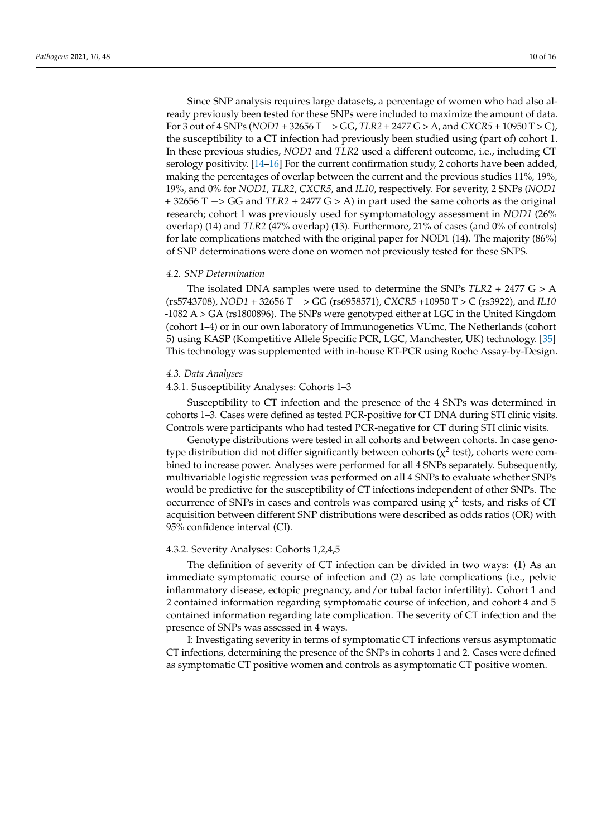Since SNP analysis requires large datasets, a percentage of women who had also already previously been tested for these SNPs were included to maximize the amount of data. For 3 out of 4 SNPs (*NOD1* + 32656 T −> GG, *TLR2* + 2477 G > A, and *CXCR5* + 10950 T > C), the susceptibility to a CT infection had previously been studied using (part of) cohort 1. In these previous studies, *NOD1* and *TLR2* used a different outcome, i.e., including CT serology positivity. [\[14–](#page-14-10)[16\]](#page-14-12) For the current confirmation study, 2 cohorts have been added, making the percentages of overlap between the current and the previous studies 11%, 19%, 19%, and 0% for *NOD1*, *TLR2*, *CXCR5,* and *IL10*, respectively. For severity, 2 SNPs (*NOD1* + 32656 T −> GG and *TLR2* + 2477 G > A) in part used the same cohorts as the original research; cohort 1 was previously used for symptomatology assessment in *NOD1* (26% overlap) (14) and *TLR2* (47% overlap) (13). Furthermore, 21% of cases (and 0% of controls) for late complications matched with the original paper for NOD1 (14). The majority (86%) of SNP determinations were done on women not previously tested for these SNPS.

#### *4.2. SNP Determination*

The isolated DNA samples were used to determine the SNPs *TLR2* + 2477 G > A (rs5743708), *NOD1* + 32656 T −> GG (rs6958571), *CXCR5* +10950 T > C (rs3922), and *IL10* -1082 A > GA (rs1800896). The SNPs were genotyped either at LGC in the United Kingdom (cohort 1–4) or in our own laboratory of Immunogenetics VUmc, The Netherlands (cohort 5) using KASP (Kompetitive Allele Specific PCR, LGC, Manchester, UK) technology. [\[35\]](#page-15-4) This technology was supplemented with in-house RT-PCR using Roche Assay-by-Design.

#### *4.3. Data Analyses*

### 4.3.1. Susceptibility Analyses: Cohorts 1–3

Susceptibility to CT infection and the presence of the 4 SNPs was determined in cohorts 1–3. Cases were defined as tested PCR-positive for CT DNA during STI clinic visits. Controls were participants who had tested PCR-negative for CT during STI clinic visits.

Genotype distributions were tested in all cohorts and between cohorts. In case genotype distribution did not differ significantly between cohorts ( $\chi^2$  test), cohorts were combined to increase power. Analyses were performed for all 4 SNPs separately. Subsequently, multivariable logistic regression was performed on all 4 SNPs to evaluate whether SNPs would be predictive for the susceptibility of CT infections independent of other SNPs. The occurrence of SNPs in cases and controls was compared using  $\chi^2$  tests, and risks of CT acquisition between different SNP distributions were described as odds ratios (OR) with 95% confidence interval (CI).

#### 4.3.2. Severity Analyses: Cohorts 1,2,4,5

The definition of severity of CT infection can be divided in two ways: (1) As an immediate symptomatic course of infection and (2) as late complications (i.e., pelvic inflammatory disease, ectopic pregnancy, and/or tubal factor infertility). Cohort 1 and 2 contained information regarding symptomatic course of infection, and cohort 4 and 5 contained information regarding late complication. The severity of CT infection and the presence of SNPs was assessed in 4 ways.

I: Investigating severity in terms of symptomatic CT infections versus asymptomatic CT infections, determining the presence of the SNPs in cohorts 1 and 2. Cases were defined as symptomatic CT positive women and controls as asymptomatic CT positive women.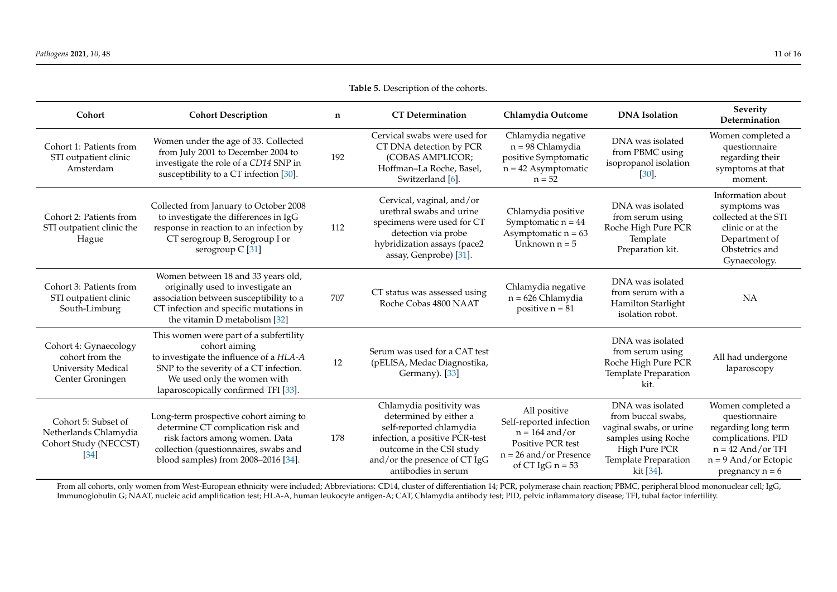<span id="page-10-0"></span>

| Cohort                                                                                    | <b>Cohort Description</b>                                                                                                                                                                                           | n   | <b>CT</b> Determination                                                                                                                                                                             | Chlamydia Outcome                                                                                                                  | <b>DNA</b> Isolation                                                                                                                           | Severity<br>Determination                                                                                                                             |
|-------------------------------------------------------------------------------------------|---------------------------------------------------------------------------------------------------------------------------------------------------------------------------------------------------------------------|-----|-----------------------------------------------------------------------------------------------------------------------------------------------------------------------------------------------------|------------------------------------------------------------------------------------------------------------------------------------|------------------------------------------------------------------------------------------------------------------------------------------------|-------------------------------------------------------------------------------------------------------------------------------------------------------|
| Cohort 1: Patients from<br>STI outpatient clinic<br>Amsterdam                             | Women under the age of 33. Collected<br>from July 2001 to December 2004 to<br>investigate the role of a CD14 SNP in<br>susceptibility to a CT infection [30].                                                       | 192 | Cervical swabs were used for<br>CT DNA detection by PCR<br>(COBAS AMPLICOR;<br>Hoffman-La Roche, Basel,<br>Switzerland [6].                                                                         | Chlamydia negative<br>n = 98 Chlamydia<br>positive Symptomatic<br>$n = 42$ Asymptomatic<br>$n = 52$                                | DNA was isolated<br>from PBMC using<br>isopropanol isolation<br>$[30]$                                                                         | Women completed a<br>questionnaire<br>regarding their<br>symptoms at that<br>moment.                                                                  |
| Cohort 2: Patients from<br>STI outpatient clinic the<br>Hague                             | Collected from January to October 2008<br>to investigate the differences in IgG<br>response in reaction to an infection by<br>CT serogroup B, Serogroup I or<br>serogroup $C$ [31]                                  | 112 | Cervical, vaginal, and/or<br>urethral swabs and urine<br>specimens were used for CT<br>detection via probe<br>hybridization assays (pace2<br>assay, Genprobe) [31].                                 | Chlamydia positive<br>Symptomatic $n = 44$<br>Asymptomatic $n = 63$<br>Unknown $n = 5$                                             | DNA was isolated<br>from serum using<br>Roche High Pure PCR<br>Template<br>Preparation kit.                                                    | Information about<br>symptoms was<br>collected at the STI<br>clinic or at the<br>Department of<br>Obstetrics and<br>Gynaecology.                      |
| Cohort 3: Patients from<br>STI outpatient clinic<br>South-Limburg                         | Women between 18 and 33 years old,<br>originally used to investigate an<br>association between susceptibility to a<br>CT infection and specific mutations in<br>the vitamin D metabolism [32]                       | 707 | CT status was assessed using<br>Roche Cobas 4800 NAAT                                                                                                                                               | Chlamydia negative<br>$n = 626$ Chlamydia<br>positive $n = 81$                                                                     | DNA was isolated<br>from serum with a<br>Hamilton Starlight<br>isolation robot.                                                                | NA                                                                                                                                                    |
| Cohort 4: Gynaecology<br>cohort from the<br><b>University Medical</b><br>Center Groningen | This women were part of a subfertility<br>cohort aiming<br>to investigate the influence of a HLA-A<br>SNP to the severity of a CT infection.<br>We used only the women with<br>laparoscopically confirmed TFI [33]. | 12  | Serum was used for a CAT test<br>(pELISA, Medac Diagnostika,<br>Germany). [33]                                                                                                                      |                                                                                                                                    | DNA was isolated<br>from serum using<br>Roche High Pure PCR<br>Template Preparation<br>kit.                                                    | All had undergone<br>laparoscopy                                                                                                                      |
| Cohort 5: Subset of<br>Netherlands Chlamydia<br>Cohort Study (NECCST)<br>$[34]$           | Long-term prospective cohort aiming to<br>determine CT complication risk and<br>risk factors among women. Data<br>collection (questionnaires, swabs and<br>blood samples) from 2008-2016 [34].                      | 178 | Chlamydia positivity was<br>determined by either a<br>self-reported chlamydia<br>infection, a positive PCR-test<br>outcome in the CSI study<br>and/or the presence of CT IgG<br>antibodies in serum | All positive<br>Self-reported infection<br>$n = 164$ and/or<br>Positive PCR test<br>$n = 26$ and/or Presence<br>of CT IgG $n = 53$ | DNA was isolated<br>from buccal swabs,<br>vaginal swabs, or urine<br>samples using Roche<br>High Pure PCR<br>Template Preparation<br>kit [34]. | Women completed a<br>questionnaire<br>regarding long term<br>complications. PID<br>$n = 42$ And/or TFI<br>$n = 9$ And/or Ectopic<br>pregnancy $n = 6$ |

**Table 5.** Description of the cohorts.

From all cohorts, only women from West-European ethnicity were included; Abbreviations: CD14, cluster of differentiation 14; PCR, polymerase chain reaction; PBMC, peripheral blood mononuclear cell; IgG, Immunoglobulin G; NAAT, nucleic acid amplification test; HLA-A, human leukocyte antigen-A; CAT, Chlamydia antibody test; PID, pelvic inflammatory disease; TFI, tubal factor infertility.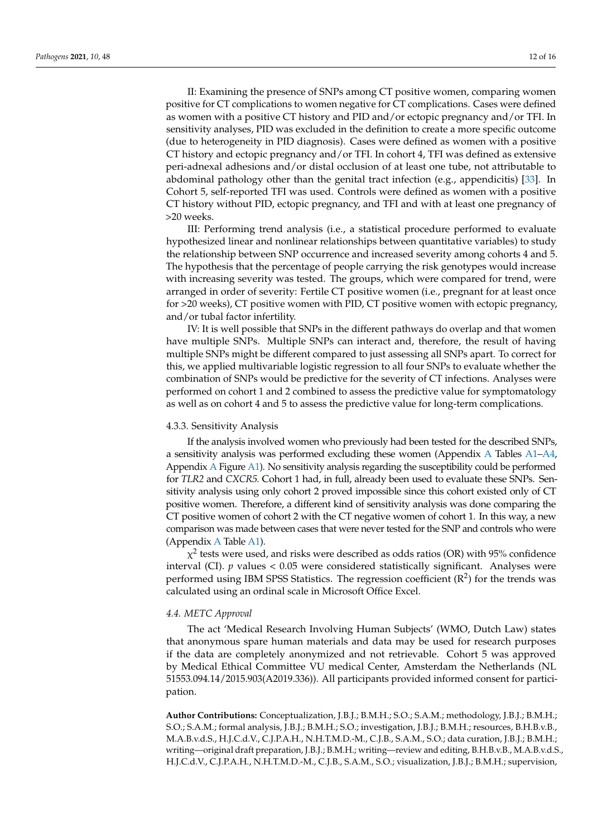II: Examining the presence of SNPs among CT positive women, comparing women positive for CT complications to women negative for CT complications. Cases were defined as women with a positive CT history and PID and/or ectopic pregnancy and/or TFI. In sensitivity analyses, PID was excluded in the definition to create a more specific outcome (due to heterogeneity in PID diagnosis). Cases were defined as women with a positive CT history and ectopic pregnancy and/or TFI. In cohort 4, TFI was defined as extensive peri-adnexal adhesions and/or distal occlusion of at least one tube, not attributable to abdominal pathology other than the genital tract infection (e.g., appendicitis) [\[33\]](#page-15-10). In Cohort 5, self-reported TFI was used. Controls were defined as women with a positive CT history without PID, ectopic pregnancy, and TFI and with at least one pregnancy of >20 weeks.

III: Performing trend analysis (i.e., a statistical procedure performed to evaluate hypothesized linear and nonlinear relationships between quantitative variables) to study the relationship between SNP occurrence and increased severity among cohorts 4 and 5. The hypothesis that the percentage of people carrying the risk genotypes would increase with increasing severity was tested. The groups, which were compared for trend, were arranged in order of severity: Fertile CT positive women (i.e., pregnant for at least once for >20 weeks), CT positive women with PID, CT positive women with ectopic pregnancy, and/or tubal factor infertility.

IV: It is well possible that SNPs in the different pathways do overlap and that women have multiple SNPs. Multiple SNPs can interact and, therefore, the result of having multiple SNPs might be different compared to just assessing all SNPs apart. To correct for this, we applied multivariable logistic regression to all four SNPs to evaluate whether the combination of SNPs would be predictive for the severity of CT infections. Analyses were performed on cohort 1 and 2 combined to assess the predictive value for symptomatology as well as on cohort 4 and 5 to assess the predictive value for long-term complications.

#### 4.3.3. Sensitivity Analysis

If the analysis involved women who previously had been tested for the described SNPs, a sensitivity analysis was performed excluding these women (Appendix [A](#page-12-0) Tables [A1–](#page-12-2)[A4,](#page-13-3) Appendix [A](#page-12-0) Figure [A1\)](#page-13-4). No sensitivity analysis regarding the susceptibility could be performed for *TLR2* and *CXCR5.* Cohort 1 had, in full, already been used to evaluate these SNPs. Sensitivity analysis using only cohort 2 proved impossible since this cohort existed only of CT positive women. Therefore, a different kind of sensitivity analysis was done comparing the CT positive women of cohort 2 with the CT negative women of cohort 1. In this way, a new comparison was made between cases that were never tested for the SNP and controls who were (Appendix [A](#page-12-0) Table [A1\)](#page-12-2).

 $\chi^2$  tests were used, and risks were described as odds ratios (OR) with 95% confidence interval (CI).  $p$  values  $< 0.05$  were considered statistically significant. Analyses were performed using IBM SPSS Statistics. The regression coefficient  $(R^2)$  for the trends was calculated using an ordinal scale in Microsoft Office Excel.

#### *4.4. METC Approval*

The act 'Medical Research Involving Human Subjects' (WMO, Dutch Law) states that anonymous spare human materials and data may be used for research purposes if the data are completely anonymized and not retrievable. Cohort 5 was approved by Medical Ethical Committee VU medical Center, Amsterdam the Netherlands (NL 51553.094.14/2015.903(A2019.336)). All participants provided informed consent for participation.

**Author Contributions:** Conceptualization, J.B.J.; B.M.H.; S.O.; S.A.M.; methodology, J.B.J.; B.M.H.; S.O.; S.A.M.; formal analysis, J.B.J.; B.M.H.; S.O.; investigation, J.B.J.; B.M.H.; resources, B.H.B.v.B., M.A.B.v.d.S., H.J.C.d.V., C.J.P.A.H., N.H.T.M.D.-M., C.J.B., S.A.M., S.O.; data curation, J.B.J.; B.M.H.; writing—original draft preparation, J.B.J.; B.M.H.; writing—review and editing, B.H.B.v.B., M.A.B.v.d.S., H.J.C.d.V., C.J.P.A.H., N.H.T.M.D.-M., C.J.B., S.A.M., S.O.; visualization, J.B.J.; B.M.H.; supervision,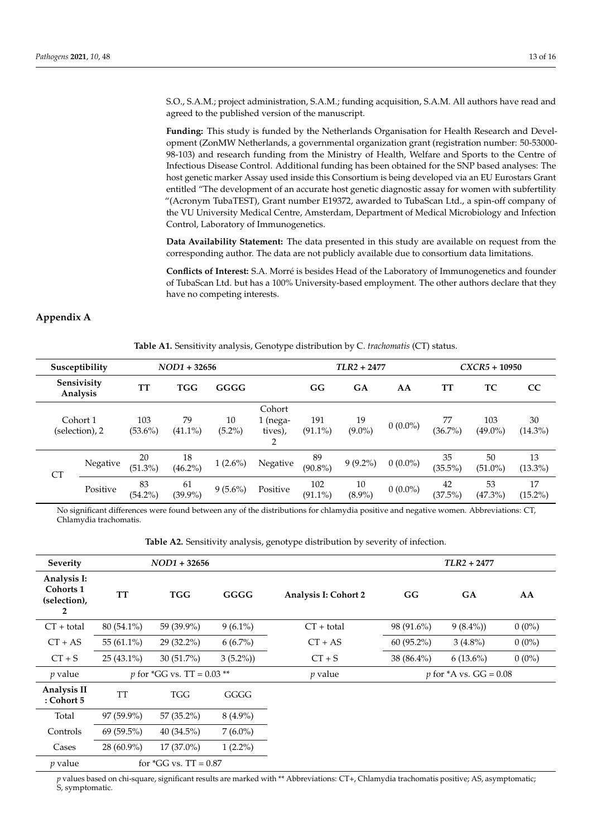S.O., S.A.M.; project administration, S.A.M.; funding acquisition, S.A.M. All authors have read and agreed to the published version of the manuscript.

**Funding:** This study is funded by the Netherlands Organisation for Health Research and Development (ZonMW Netherlands, a governmental organization grant (registration number: 50-53000- 98-103) and research funding from the Ministry of Health, Welfare and Sports to the Centre of Infectious Disease Control. Additional funding has been obtained for the SNP based analyses: The host genetic marker Assay used inside this Consortium is being developed via an EU Eurostars Grant entitled "The development of an accurate host genetic diagnostic assay for women with subfertility "(Acronym TubaTEST), Grant number E19372, awarded to TubaScan Ltd., a spin-off company of the VU University Medical Centre, Amsterdam, Department of Medical Microbiology and Infection Control, Laboratory of Immunogenetics.

**Data Availability Statement:** The data presented in this study are available on request from the corresponding author. The data are not publicly available due to consortium data limitations.

**Conflicts of Interest:** S.A. Morré is besides Head of the Laboratory of Immunogenetics and founder of TubaScan Ltd. but has a 100% University-based employment. The other authors declare that they have no competing interests.

#### <span id="page-12-2"></span><span id="page-12-0"></span>**Appendix A**

**Table A1.** Sensitivity analysis, Genotype distribution by C. *trachomatis* (CT) status.

| $NOD1 + 32656$<br>Susceptibility |                            |                   |                  |                 | $TLR2 + 2477$                      |                   |                 | $CXCR5 + 10950$ |                  |                   |                  |
|----------------------------------|----------------------------|-------------------|------------------|-----------------|------------------------------------|-------------------|-----------------|-----------------|------------------|-------------------|------------------|
|                                  | Sensivisity<br>Analysis    | TТ                | <b>TGG</b>       | GGGG            |                                    | GG                | GA              | AA              | TТ               | TC                | CC               |
|                                  | Cohort 1<br>(selection), 2 | 103<br>$(53.6\%)$ | 79<br>$(41.1\%)$ | 10<br>$(5.2\%)$ | Cohort<br>1 (nega-<br>tives),<br>2 | 191<br>$(91.1\%)$ | 19<br>$(9.0\%)$ | $0(0.0\%)$      | 77<br>$(36.7\%)$ | 103<br>$(49.0\%)$ | 30<br>$(14.3\%)$ |
| <b>CT</b>                        | Negative                   | 20<br>$(51.3\%)$  | 18<br>$(46.2\%)$ | $1(2.6\%)$      | Negative                           | 89<br>$(90.8\%)$  | $9(9.2\%)$      | $0(0.0\%)$      | 35<br>$(35.5\%)$ | 50<br>$(51.0\%)$  | 13<br>$(13.3\%)$ |
|                                  | Positive                   | 83<br>$(54.2\%)$  | 61<br>$(39.9\%)$ | $9(5.6\%)$      | Positive                           | 102<br>$(91.1\%)$ | 10<br>$(8.9\%)$ | $0(0.0\%)$      | 42<br>$(37.5\%)$ | 53<br>$(47.3\%)$  | 17<br>$(15.2\%)$ |

No significant differences were found between any of the distributions for chlamydia positive and negative women. Abbreviations: CT, Chlamydia trachomatis.

**Table A2.** Sensitivity analysis, genotype distribution by severity of infection.

<span id="page-12-1"></span>

| <b>Severity</b>                                          |               | $NOD1 + 32656$                      |            |                             |              | $TLR2 + 2477$                    |          |
|----------------------------------------------------------|---------------|-------------------------------------|------------|-----------------------------|--------------|----------------------------------|----------|
| Analysis I:<br>Cohorts 1<br>(selection),<br>$\mathbf{2}$ | TT            | <b>TGG</b>                          | GGGG       | <b>Analysis I: Cohort 2</b> | GG           | GA                               | AA       |
| $CT + total$                                             | 80 (54.1%)    | 59 (39.9%)                          | $9(6.1\%)$ | $CT + total$                | 98 (91.6%)   | $9(8.4\%)$                       | $0(0\%)$ |
| $CT + AS$                                                | 55 $(61.1\%)$ | 29 (32.2%)                          | $6(6.7\%)$ | $CT + AS$                   | $60(95.2\%)$ | $3(4.8\%)$                       | $0(0\%)$ |
| $CT + S$                                                 | $25(43.1\%)$  | $30(51.7\%)$                        | $3(5.2\%)$ | $CT + S$                    | 38 (86.4%)   | $6(13.6\%)$                      | $0(0\%)$ |
| $p$ value                                                |               | <i>p</i> for *GG vs. TT = $0.03$ ** |            | $p$ value                   |              | <i>p</i> for $*$ A vs. GG = 0.08 |          |
| Analysis II<br>: Cohort 5                                | <b>TT</b>     | <b>TGG</b>                          | GGGG       |                             |              |                                  |          |
| Total                                                    | $97(59.9\%)$  | $57(35.2\%)$                        | $8(4.9\%)$ |                             |              |                                  |          |
| Controls                                                 | $69(59.5\%)$  | $40(34.5\%)$                        | $7(6.0\%)$ |                             |              |                                  |          |
| Cases                                                    | $28(60.9\%)$  | $17(37.0\%)$                        | $1(2.2\%)$ |                             |              |                                  |          |
| $p$ value                                                |               | for $*GG$ vs. $TT = 0.87$           |            |                             |              |                                  |          |

*p* values based on chi-square, significant results are marked with \*\* Abbreviations: CT+, Chlamydia trachomatis positive; AS, asymptomatic; S, symptomatic.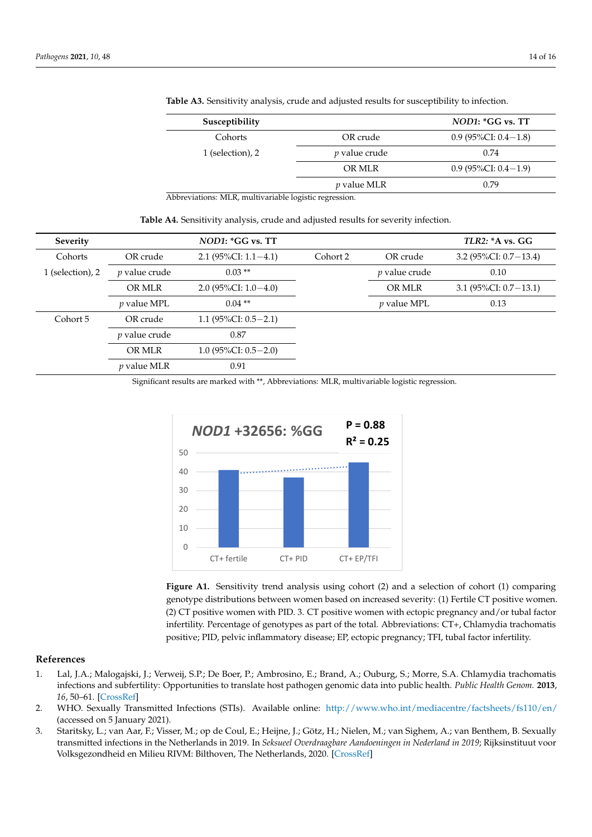| Susceptibility   |                      | $NOD1:$ *GG vs. TT        |
|------------------|----------------------|---------------------------|
| Cohorts          | OR crude             | 0.9 (95\%CI: $0.4-1.8$ )  |
| 1 (selection), 2 | <i>p</i> value crude | 0.74                      |
|                  | OR MLR               | $0.9$ (95%CI: $0.4-1.9$ ) |
|                  | <i>v</i> value MLR   | 0.79                      |
|                  |                      |                           |

**Table A3.** Sensitivity analysis, crude and adjusted results for susceptibility to infection.

Abbreviations: MLR, multivariable logistic regression.

<span id="page-13-3"></span>

| Severity         |                      | $NOD1:$ *GG vs. TT        |          |                      | TLR2: A vs. GG           |
|------------------|----------------------|---------------------------|----------|----------------------|--------------------------|
| Cohorts          | OR crude             | $2.1(95\%CI: 1.1 - 4.1)$  | Cohort 2 | OR crude             | 3.2 $(95\%CI: 0.7-13.4)$ |
| 1 (selection), 2 | <i>p</i> value crude | $0.03**$                  |          | <i>p</i> value crude | 0.10                     |
|                  | OR MLR               | $2.0$ (95%CI: $1.0-4.0$ ) |          | OR MLR               | 3.1 $(95\%CI: 0.7-13.1)$ |
|                  | $p$ value MPL        | $0.04$ **                 |          | $p$ value MPL        | 0.13                     |
| Cohort 5         | OR crude             | 1.1 $(95\%CI: 0.5-2.1)$   |          |                      |                          |
|                  | <i>p</i> value crude | 0.87                      |          |                      |                          |
|                  | OR MLR               | $1.0$ (95%CI: 0.5-2.0)    |          |                      |                          |
|                  | <i>p</i> value MLR   | 0.91                      |          |                      |                          |

Significant results are marked with \*\*, Abbreviations: MLR, multivariable logistic regression.<br>

<span id="page-13-4"></span>

**Figure A1:** Sensitivity trend analysis using cohort (2) and a selection of cohort (1) comparing **Figure A1.** Sensitivity trend analysis using cohort (2) and a selection of cohort (1) comparing genotype distributions between women based on increased severity: (1) Fertile CT positive women. genotype distributions between women based on increased severity: (1) Fertile CT positive women.  $\frac{1}{2}$  CT positive women with PID. 3. CT positive women with ectopic pregnancy and  $\frac{1}{2}$  and  $\frac{1}{2}$  factors and  $\frac{1}{2}$  factors  $\frac{1}{2}$ (2) CT positive women with PID. 3. CT positive women with ectopic pregnancy and/or tubal factor  $\sim$ infertility. Percentage of genotypes as part of the total. Abbreviations:  $CT+$ , Chlamydia trachomatis positive; PID, pelvic inflammatory disease; EP, ectopic pregnancy; TFI, tubal factor infertility.

# **References References**

- <span id="page-13-0"></span>1. Lal, J.A.; Malogajski, J.; Verweij, S.P.; De Boer, P.; Ambrosino, E.; Brand, A.; Ouburg, S.; Morre, S.A. Chlamydia trachomatis 1. Lal, J.A.; Malogajski, J.; Verweij, S.P.; De Boer, P.; Ambrosino, E.; Brand, A.; Ouburg, S.; Morre, S.A. Chlamydia trachomatis *16*, 50–61. *16*, 50–61. [\[CrossRef\]](http://doi.org/10.1159/000346207) infections and subfertility: Opportunities to translate host pathogen genomic data into public health. *Public Health Genom.* **2013**,
- <span id="page-13-1"></span>2. WHO. Sexually Transmitted Infections (STIs). Available online: <http://www.who.int/mediacentre/factsheets/fs110/en/> on 5 January 2021). (accessed on 5 January 2021).
- <span id="page-13-2"></span>accessed on 5 january 2021).<br>3. Staritsky, L.; van Aar, F.; Visser, M.; op de Coul, E.; Heijne, J.; Götz, H.; Nielen, M.; van Sighem, A.; van Benthem, B. Sexually transmitted infections in the Netherlands in 2019. In *Seksueel Overdraagbare Aandoeningen in Nederland in 2019*; Rijksinstituut transmitted infections in the Netherlands in 2019. In *Seksueel Overdraagbare Aandoeningen in Nederland in* 2019; Rijksinstituut voor<br>Vellangens lleid an Milion PBAA Pille een The Methodende 2009. IS were <sup>0</sup> Volksgezondheid en Milieu RIVM: Bilthoven, The Netherlands, 2020. [\[CrossRef\]](http://doi.org/10.21945/rivm-2020-0052)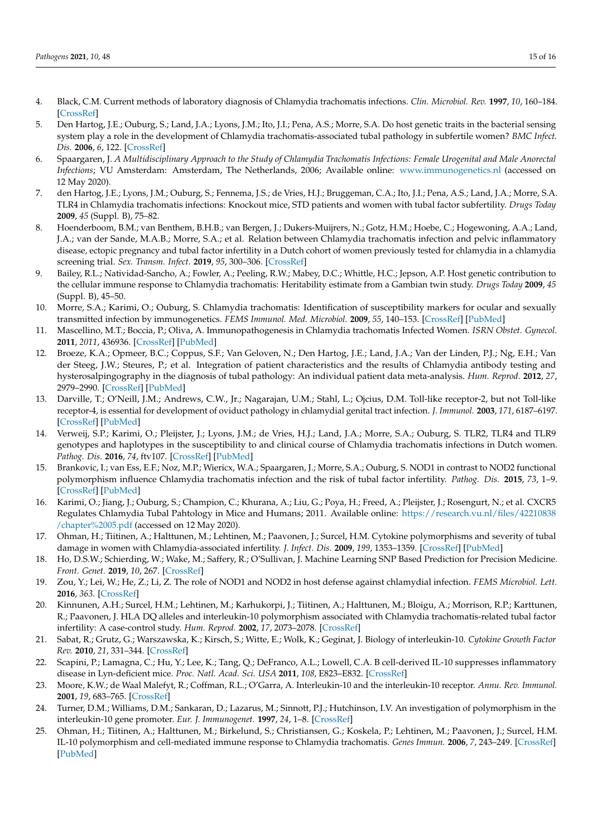- <span id="page-14-21"></span><span id="page-14-0"></span>4. Black, C.M. Current methods of laboratory diagnosis of Chlamydia trachomatis infections. *Clin. Microbiol. Rev.* **1997**, *10*, 160–184. [\[CrossRef\]](http://doi.org/10.1128/CMR.10.1.160)
- <span id="page-14-1"></span>5. Den Hartog, J.E.; Ouburg, S.; Land, J.A.; Lyons, J.M.; Ito, J.I.; Pena, A.S.; Morre, S.A. Do host genetic traits in the bacterial sensing system play a role in the development of Chlamydia trachomatis-associated tubal pathology in subfertile women? *BMC Infect. Dis.* **2006**, *6*, 122. [\[CrossRef\]](http://doi.org/10.1186/1471-2334-6-122)
- <span id="page-14-2"></span>6. Spaargaren, J. *A Multidisciplinary Approach to the Study of Chlamydia Trachomatis Infections: Female Urogenital and Male Anorectal Infections*; VU Amsterdam: Amsterdam, The Netherlands, 2006; Available online: <www.immunogenetics.nl> (accessed on 12 May 2020).
- <span id="page-14-3"></span>7. den Hartog, J.E.; Lyons, J.M.; Ouburg, S.; Fennema, J.S.; de Vries, H.J.; Bruggeman, C.A.; Ito, J.I.; Pena, A.S.; Land, J.A.; Morre, S.A. TLR4 in Chlamydia trachomatis infections: Knockout mice, STD patients and women with tubal factor subfertility. *Drugs Today* **2009**, *45* (Suppl. B), 75–82.
- <span id="page-14-4"></span>8. Hoenderboom, B.M.; van Benthem, B.H.B.; van Bergen, J.; Dukers-Muijrers, N.; Gotz, H.M.; Hoebe, C.; Hogewoning, A.A.; Land, J.A.; van der Sande, M.A.B.; Morre, S.A.; et al. Relation between Chlamydia trachomatis infection and pelvic inflammatory disease, ectopic pregnancy and tubal factor infertility in a Dutch cohort of women previously tested for chlamydia in a chlamydia screening trial. *Sex. Transm. Infect.* **2019**, *95*, 300–306. [\[CrossRef\]](http://doi.org/10.1136/sextrans-2018-053778)
- <span id="page-14-5"></span>9. Bailey, R.L.; Natividad-Sancho, A.; Fowler, A.; Peeling, R.W.; Mabey, D.C.; Whittle, H.C.; Jepson, A.P. Host genetic contribution to the cellular immune response to Chlamydia trachomatis: Heritability estimate from a Gambian twin study. *Drugs Today* **2009**, *45* (Suppl. B), 45–50.
- <span id="page-14-6"></span>10. Morre, S.A.; Karimi, O.; Ouburg, S. Chlamydia trachomatis: Identification of susceptibility markers for ocular and sexually transmitted infection by immunogenetics. *FEMS Immunol. Med. Microbiol.* **2009**, *55*, 140–153. [\[CrossRef\]](http://doi.org/10.1111/j.1574-695X.2009.00536.x) [\[PubMed\]](http://www.ncbi.nlm.nih.gov/pubmed/19170753)
- <span id="page-14-7"></span>11. Mascellino, M.T.; Boccia, P.; Oliva, A. Immunopathogenesis in Chlamydia trachomatis Infected Women. *ISRN Obstet. Gynecol.* **2011**, *2011*, 436936. [\[CrossRef\]](http://doi.org/10.5402/2011/436936) [\[PubMed\]](http://www.ncbi.nlm.nih.gov/pubmed/22191045)
- <span id="page-14-8"></span>12. Broeze, K.A.; Opmeer, B.C.; Coppus, S.F.; Van Geloven, N.; Den Hartog, J.E.; Land, J.A.; Van der Linden, P.J.; Ng, E.H.; Van der Steeg, J.W.; Steures, P.; et al. Integration of patient characteristics and the results of Chlamydia antibody testing and hysterosalpingography in the diagnosis of tubal pathology: An individual patient data meta-analysis. *Hum. Reprod.* **2012**, *27*, 2979–2990. [\[CrossRef\]](http://doi.org/10.1093/humrep/des281) [\[PubMed\]](http://www.ncbi.nlm.nih.gov/pubmed/22851718)
- <span id="page-14-9"></span>13. Darville, T.; O'Neill, J.M.; Andrews, C.W., Jr.; Nagarajan, U.M.; Stahl, L.; Ojcius, D.M. Toll-like receptor-2, but not Toll-like receptor-4, is essential for development of oviduct pathology in chlamydial genital tract infection. *J. Immunol.* **2003**, *171*, 6187–6197. [\[CrossRef\]](http://doi.org/10.4049/jimmunol.171.11.6187) [\[PubMed\]](http://www.ncbi.nlm.nih.gov/pubmed/14634135)
- <span id="page-14-10"></span>14. Verweij, S.P.; Karimi, O.; Pleijster, J.; Lyons, J.M.; de Vries, H.J.; Land, J.A.; Morre, S.A.; Ouburg, S. TLR2, TLR4 and TLR9 genotypes and haplotypes in the susceptibility to and clinical course of Chlamydia trachomatis infections in Dutch women. *Pathog. Dis.* **2016**, *74*, ftv107. [\[CrossRef\]](http://doi.org/10.1093/femspd/ftv107) [\[PubMed\]](http://www.ncbi.nlm.nih.gov/pubmed/26568059)
- <span id="page-14-11"></span>15. Brankovic, I.; van Ess, E.F.; Noz, M.P.; Wiericx, W.A.; Spaargaren, J.; Morre, S.A.; Ouburg, S. NOD1 in contrast to NOD2 functional polymorphism influence Chlamydia trachomatis infection and the risk of tubal factor infertility. *Pathog. Dis.* **2015**, *73*, 1–9. [\[CrossRef\]](http://doi.org/10.1093/femspd/ftu028) [\[PubMed\]](http://www.ncbi.nlm.nih.gov/pubmed/25854006)
- <span id="page-14-12"></span>16. Karimi, O.; Jiang, J.; Ouburg, S.; Champion, C.; Khurana, A.; Liu, G.; Poya, H.; Freed, A.; Pleijster, J.; Rosengurt, N.; et al. CXCR5 Regulates Chlamydia Tubal Pahtology in Mice and Humans; 2011. Available online: [https://research.vu.nl/files/42210838](https://research.vu.nl/files/42210838/chapter%2005.pdf) [/chapter%2005.pdf](https://research.vu.nl/files/42210838/chapter%2005.pdf) (accessed on 12 May 2020).
- <span id="page-14-13"></span>17. Ohman, H.; Tiitinen, A.; Halttunen, M.; Lehtinen, M.; Paavonen, J.; Surcel, H.M. Cytokine polymorphisms and severity of tubal damage in women with Chlamydia-associated infertility. *J. Infect. Dis.* **2009**, *199*, 1353–1359. [\[CrossRef\]](http://doi.org/10.1086/597620) [\[PubMed\]](http://www.ncbi.nlm.nih.gov/pubmed/19358670)
- <span id="page-14-14"></span>18. Ho, D.S.W.; Schierding, W.; Wake, M.; Saffery, R.; O'Sullivan, J. Machine Learning SNP Based Prediction for Precision Medicine. *Front. Genet.* **2019**, *10*, 267. [\[CrossRef\]](http://doi.org/10.3389/fgene.2019.00267)
- <span id="page-14-15"></span>19. Zou, Y.; Lei, W.; He, Z.; Li, Z. The role of NOD1 and NOD2 in host defense against chlamydial infection. *FEMS Microbiol. Lett.* **2016**, *363*. [\[CrossRef\]](http://doi.org/10.1093/femsle/fnw170)
- <span id="page-14-16"></span>20. Kinnunen, A.H.; Surcel, H.M.; Lehtinen, M.; Karhukorpi, J.; Tiitinen, A.; Halttunen, M.; Bloigu, A.; Morrison, R.P.; Karttunen, R.; Paavonen, J. HLA DQ alleles and interleukin-10 polymorphism associated with Chlamydia trachomatis-related tubal factor infertility: A case-control study. *Hum. Reprod.* **2002**, *17*, 2073–2078. [\[CrossRef\]](http://doi.org/10.1093/humrep/17.8.2073)
- <span id="page-14-17"></span>21. Sabat, R.; Grutz, G.; Warszawska, K.; Kirsch, S.; Witte, E.; Wolk, K.; Geginat, J. Biology of interleukin-10. *Cytokine Growth Factor Rev.* **2010**, *21*, 331–344. [\[CrossRef\]](http://doi.org/10.1016/j.cytogfr.2010.09.002)
- 22. Scapini, P.; Lamagna, C.; Hu, Y.; Lee, K.; Tang, Q.; DeFranco, A.L.; Lowell, C.A. B cell-derived IL-10 suppresses inflammatory disease in Lyn-deficient mice. *Proc. Natl. Acad. Sci. USA* **2011**, *108*, E823–E832. [\[CrossRef\]](http://doi.org/10.1073/pnas.1107913108)
- <span id="page-14-18"></span>23. Moore, K.W.; de Waal Malefyt, R.; Coffman, R.L.; O'Garra, A. Interleukin-10 and the interleukin-10 receptor. *Annu. Rev. Immunol.* **2001**, *19*, 683–765. [\[CrossRef\]](http://doi.org/10.1146/annurev.immunol.19.1.683)
- <span id="page-14-19"></span>24. Turner, D.M.; Williams, D.M.; Sankaran, D.; Lazarus, M.; Sinnott, P.J.; Hutchinson, I.V. An investigation of polymorphism in the interleukin-10 gene promoter. *Eur. J. Immunogenet.* **1997**, *24*, 1–8. [\[CrossRef\]](http://doi.org/10.1111/j.1365-2370.1997.tb00001.x)
- <span id="page-14-20"></span>25. Ohman, H.; Tiitinen, A.; Halttunen, M.; Birkelund, S.; Christiansen, G.; Koskela, P.; Lehtinen, M.; Paavonen, J.; Surcel, H.M. IL-10 polymorphism and cell-mediated immune response to Chlamydia trachomatis. *Genes Immun.* **2006**, *7*, 243–249. [\[CrossRef\]](http://doi.org/10.1038/sj.gene.6364293) [\[PubMed\]](http://www.ncbi.nlm.nih.gov/pubmed/16525502)